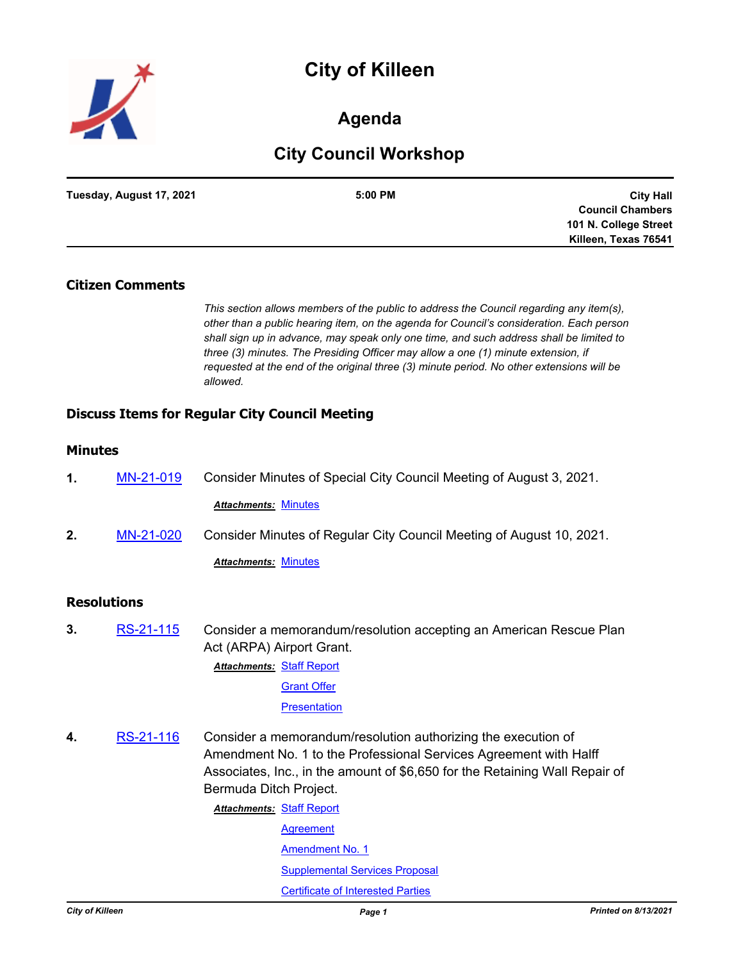# **City of Killeen**



## **Agenda**

## **City Council Workshop**

| Tuesday, August 17, 2021 | 5:00 PM | <b>City Hall</b>        |
|--------------------------|---------|-------------------------|
|                          |         | <b>Council Chambers</b> |
|                          |         | 101 N. College Street   |
|                          |         | Killeen, Texas 76541    |

## **Citizen Comments**

*This section allows members of the public to address the Council regarding any item(s), other than a public hearing item, on the agenda for Council's consideration. Each person shall sign up in advance, may speak only one time, and such address shall be limited to three (3) minutes. The Presiding Officer may allow a one (1) minute extension, if requested at the end of the original three (3) minute period. No other extensions will be allowed.*

## **Discuss Items for Regular City Council Meeting**

## **Minutes**

| 1. | MN-21-019 | Consider Minutes of Special City Council Meeting of August 3, 2021.  |  |
|----|-----------|----------------------------------------------------------------------|--|
|    |           | <b>Attachments: Minutes</b>                                          |  |
| 2. | MN-21-020 | Consider Minutes of Regular City Council Meeting of August 10, 2021. |  |

*Attachments:* [Minutes](http://killeen.legistar.com/gateway.aspx?M=F&ID=2a20757c-f62b-4466-b3dd-89a1c8578a11.pdf)

## **Resolutions**

**3.** [RS-21-115](http://killeen.legistar.com/gateway.aspx?m=l&id=/matter.aspx?key=5647) Consider a memorandum/resolution accepting an American Rescue Plan Act (ARPA) Airport Grant. **Attachments: [Staff Report](http://killeen.legistar.com/gateway.aspx?M=F&ID=7b7c79d3-7ecc-4361-85f5-b6ec88fc9427.pdf)** 

> **[Grant Offer](http://killeen.legistar.com/gateway.aspx?M=F&ID=8537a3d1-8c49-4454-b3be-c875377aa128.pdf) [Presentation](http://killeen.legistar.com/gateway.aspx?M=F&ID=6eb46a28-2463-4e79-aafa-2eb8b1c7c1c0.pdf)**

**4.** [RS-21-116](http://killeen.legistar.com/gateway.aspx?m=l&id=/matter.aspx?key=5656) Consider a memorandum/resolution authorizing the execution of Amendment No. 1 to the Professional Services Agreement with Halff Associates, Inc., in the amount of \$6,650 for the Retaining Wall Repair of Bermuda Ditch Project.

**Attachments: [Staff Report](http://killeen.legistar.com/gateway.aspx?M=F&ID=355eba23-6bad-4027-8a75-d73dd2407e6d.pdf)** 

**[Agreement](http://killeen.legistar.com/gateway.aspx?M=F&ID=6a799f95-4314-43b0-a4bb-e45677cd6f45.pdf)** 

[Amendment No. 1](http://killeen.legistar.com/gateway.aspx?M=F&ID=c3317923-20cd-4916-adaa-9cbf06aff90c.pdf)

[Supplemental Services Proposal](http://killeen.legistar.com/gateway.aspx?M=F&ID=cc96190a-163c-42bf-9f54-0faae7bd8319.pdf)

[Certificate of Interested Parties](http://killeen.legistar.com/gateway.aspx?M=F&ID=10b33a90-c136-4158-84b0-01d0bb1161d8.pdf)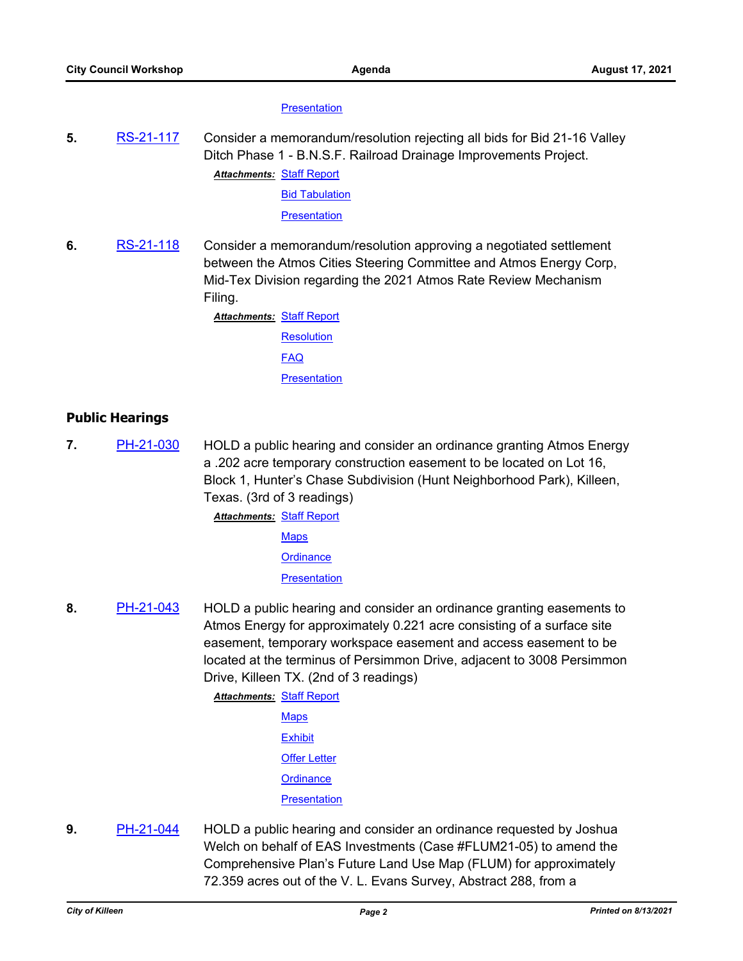#### **[Presentation](http://killeen.legistar.com/gateway.aspx?M=F&ID=945cbaed-3f8e-4155-be96-37e94b2677a9.pdf)**

**5.** [RS-21-117](http://killeen.legistar.com/gateway.aspx?m=l&id=/matter.aspx?key=5658) Consider a memorandum/resolution rejecting all bids for Bid 21-16 Valley Ditch Phase 1 - B.N.S.F. Railroad Drainage Improvements Project. **Attachments: [Staff Report](http://killeen.legistar.com/gateway.aspx?M=F&ID=96d3deb1-a40c-4cd3-b8d1-aaad130531d1.pdf)** 

**[Bid Tabulation](http://killeen.legistar.com/gateway.aspx?M=F&ID=6b6f37c5-b50b-4a86-952c-6afb7a790cd1.pdf)** 

**[Presentation](http://killeen.legistar.com/gateway.aspx?M=F&ID=b616ece4-c805-49e1-bd80-a2bcc8f0a20b.pdf)** 

**6.** [RS-21-118](http://killeen.legistar.com/gateway.aspx?m=l&id=/matter.aspx?key=5657) Consider a memorandum/resolution approving a negotiated settlement between the Atmos Cities Steering Committee and Atmos Energy Corp, Mid-Tex Division regarding the 2021 Atmos Rate Review Mechanism Filing.

> **Attachments: [Staff Report](http://killeen.legistar.com/gateway.aspx?M=F&ID=8f15e8a2-c8fa-4107-86f4-b32c06b548a4.pdf) [Resolution](http://killeen.legistar.com/gateway.aspx?M=F&ID=7b1e338a-63b6-4423-a29d-22a537bf76e7.pdf)** [FAQ](http://killeen.legistar.com/gateway.aspx?M=F&ID=c0366d41-d754-4024-baee-4e6d152e00f5.pdf) **[Presentation](http://killeen.legistar.com/gateway.aspx?M=F&ID=b6e54f93-6291-4447-a7ed-0d47ce121e12.pdf)**

## **Public Hearings**

**7.** [PH-21-030](http://killeen.legistar.com/gateway.aspx?m=l&id=/matter.aspx?key=5564) HOLD a public hearing and consider an ordinance granting Atmos Energy a .202 acre temporary construction easement to be located on Lot 16, Block 1, Hunter's Chase Subdivision (Hunt Neighborhood Park), Killeen, Texas. (3rd of 3 readings)

**Attachments: [Staff Report](http://killeen.legistar.com/gateway.aspx?M=F&ID=0ed027cb-6f76-4780-8866-522a796f954d.pdf)** 

**[Maps](http://killeen.legistar.com/gateway.aspx?M=F&ID=8847f1cd-9ee0-4bea-8079-4b59fd76d916.pdf)** 

**[Ordinance](http://killeen.legistar.com/gateway.aspx?M=F&ID=44d13e7b-ff0b-46a4-a622-b465ba434e2d.pdf)** 

**[Presentation](http://killeen.legistar.com/gateway.aspx?M=F&ID=e35b7593-e5c7-4462-8243-3ec222fd5a92.pdf)** 

**8.** [PH-21-043](http://killeen.legistar.com/gateway.aspx?m=l&id=/matter.aspx?key=5627) HOLD a public hearing and consider an ordinance granting easements to Atmos Energy for approximately 0.221 acre consisting of a surface site easement, temporary workspace easement and access easement to be located at the terminus of Persimmon Drive, adjacent to 3008 Persimmon Drive, Killeen TX. (2nd of 3 readings)

**Attachments: [Staff Report](http://killeen.legistar.com/gateway.aspx?M=F&ID=994bcbbe-af8f-4de0-8033-956bd1b22453.pdf)** 

- **[Maps](http://killeen.legistar.com/gateway.aspx?M=F&ID=fd93a5df-91aa-4b78-895c-e96587131f11.pdf) [Exhibit](http://killeen.legistar.com/gateway.aspx?M=F&ID=f6cb8c0b-7a09-48a5-b8c6-99472d80a201.pdf) [Offer Letter](http://killeen.legistar.com/gateway.aspx?M=F&ID=33fda0b4-dfeb-4c1f-bd0b-8dda1d08ab17.pdf) [Ordinance](http://killeen.legistar.com/gateway.aspx?M=F&ID=8b3d10ea-d68d-410a-8eb4-8b30037c0072.pdf) [Presentation](http://killeen.legistar.com/gateway.aspx?M=F&ID=4c73084e-4b7c-4919-8669-00a089ca0a76.pdf)**
- **9.** [PH-21-044](http://killeen.legistar.com/gateway.aspx?m=l&id=/matter.aspx?key=5642) HOLD a public hearing and consider an ordinance requested by Joshua Welch on behalf of EAS Investments (Case #FLUM21-05) to amend the Comprehensive Plan's Future Land Use Map (FLUM) for approximately 72.359 acres out of the V. L. Evans Survey, Abstract 288, from a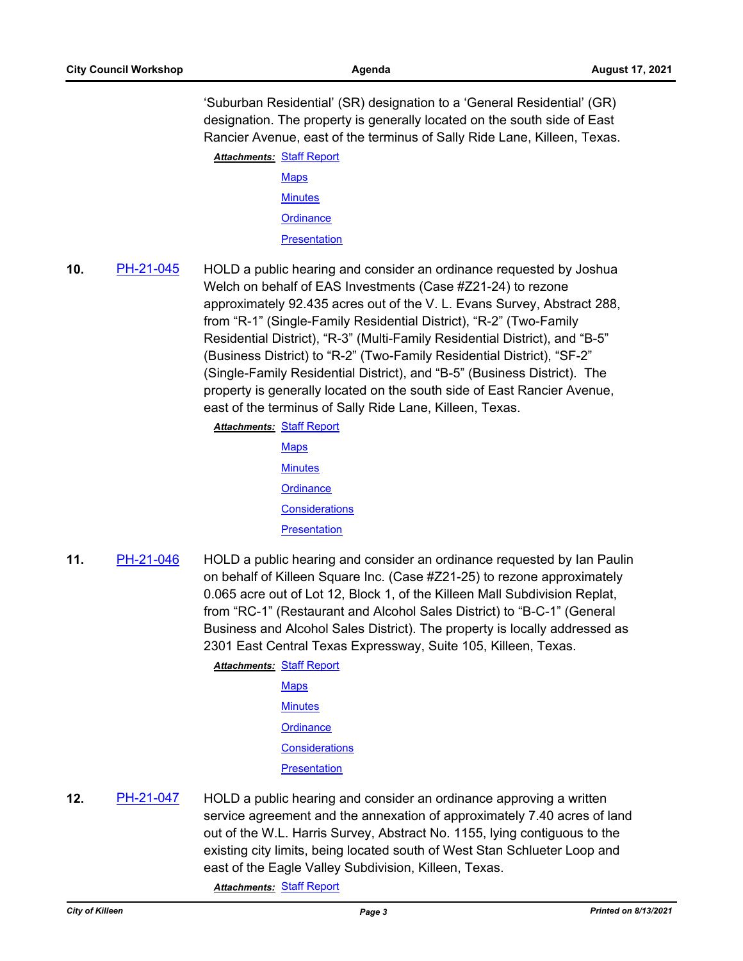'Suburban Residential' (SR) designation to a 'General Residential' (GR) designation. The property is generally located on the south side of East Rancier Avenue, east of the terminus of Sally Ride Lane, Killeen, Texas. **Attachments: [Staff Report](http://killeen.legistar.com/gateway.aspx?M=F&ID=4489cf1f-229b-42a4-857f-eca733514094.pdf)** 

> **[Maps](http://killeen.legistar.com/gateway.aspx?M=F&ID=35928bf0-a29d-4609-9144-4828d668096c.pdf) [Minutes](http://killeen.legistar.com/gateway.aspx?M=F&ID=f1fce43a-f904-4bb0-b5f5-abfa2b3c5456.pdf) [Ordinance](http://killeen.legistar.com/gateway.aspx?M=F&ID=632b94cb-e6b9-4a07-8207-cff20e0d30bf.pdf)**

**[Presentation](http://killeen.legistar.com/gateway.aspx?M=F&ID=669b8556-172a-4a84-8d1e-9f48adcb1108.pdf)** 

**10.** [PH-21-045](http://killeen.legistar.com/gateway.aspx?m=l&id=/matter.aspx?key=5640) HOLD a public hearing and consider an ordinance requested by Joshua Welch on behalf of EAS Investments (Case #Z21-24) to rezone approximately 92.435 acres out of the V. L. Evans Survey, Abstract 288, from "R-1" (Single-Family Residential District), "R-2" (Two-Family Residential District), "R-3" (Multi-Family Residential District), and "B-5" (Business District) to "R-2" (Two-Family Residential District), "SF-2" (Single-Family Residential District), and "B-5" (Business District). The property is generally located on the south side of East Rancier Avenue, east of the terminus of Sally Ride Lane, Killeen, Texas.

**Attachments: [Staff Report](http://killeen.legistar.com/gateway.aspx?M=F&ID=ce80969f-4f00-4487-9f53-94ee6c59b0f3.pdf)** 

**[Maps](http://killeen.legistar.com/gateway.aspx?M=F&ID=407f41ea-ff0b-45cb-8227-59265a656f07.pdf) [Minutes](http://killeen.legistar.com/gateway.aspx?M=F&ID=215df31f-2cba-48f7-a872-9ae5c49ffa6c.pdf) [Ordinance](http://killeen.legistar.com/gateway.aspx?M=F&ID=0bd2a9dc-bb36-4d68-8972-00b161855528.pdf) [Considerations](http://killeen.legistar.com/gateway.aspx?M=F&ID=5584fc71-62b6-410f-9ea4-f5fbb3fbb04c.pdf) [Presentation](http://killeen.legistar.com/gateway.aspx?M=F&ID=5ce48f7b-c43c-4c07-8c98-7fe829d5d065.pdf)** 

**11.** [PH-21-046](http://killeen.legistar.com/gateway.aspx?m=l&id=/matter.aspx?key=5641) HOLD a public hearing and consider an ordinance requested by Ian Paulin on behalf of Killeen Square Inc. (Case #Z21-25) to rezone approximately 0.065 acre out of Lot 12, Block 1, of the Killeen Mall Subdivision Replat, from "RC-1" (Restaurant and Alcohol Sales District) to "B-C-1" (General Business and Alcohol Sales District). The property is locally addressed as 2301 East Central Texas Expressway, Suite 105, Killeen, Texas.

> **Attachments: [Staff Report](http://killeen.legistar.com/gateway.aspx?M=F&ID=6d3b9496-588a-4140-969d-5a6486231772.pdf) [Maps](http://killeen.legistar.com/gateway.aspx?M=F&ID=01437304-6865-400b-a480-f5d57f9269d2.pdf) [Minutes](http://killeen.legistar.com/gateway.aspx?M=F&ID=21620d6a-6593-4331-ba46-faa0a38636fc.pdf) [Ordinance](http://killeen.legistar.com/gateway.aspx?M=F&ID=94b42a61-f302-4d9f-9fcc-1ff3bc118548.pdf) [Considerations](http://killeen.legistar.com/gateway.aspx?M=F&ID=cd75b752-623a-48d2-abb5-6cbc83037da8.pdf) [Presentation](http://killeen.legistar.com/gateway.aspx?M=F&ID=08b2f7ef-3ffa-44c5-a4ed-fd2056e0b181.pdf)**

**12.** [PH-21-047](http://killeen.legistar.com/gateway.aspx?m=l&id=/matter.aspx?key=5659) HOLD a public hearing and consider an ordinance approving a written service agreement and the annexation of approximately 7.40 acres of land out of the W.L. Harris Survey, Abstract No. 1155, lying contiguous to the existing city limits, being located south of West Stan Schlueter Loop and east of the Eagle Valley Subdivision, Killeen, Texas.

*Attachments:* [Staff Report](http://killeen.legistar.com/gateway.aspx?M=F&ID=9a56773c-dabe-49b7-bee9-fab23cf54b0d.pdf)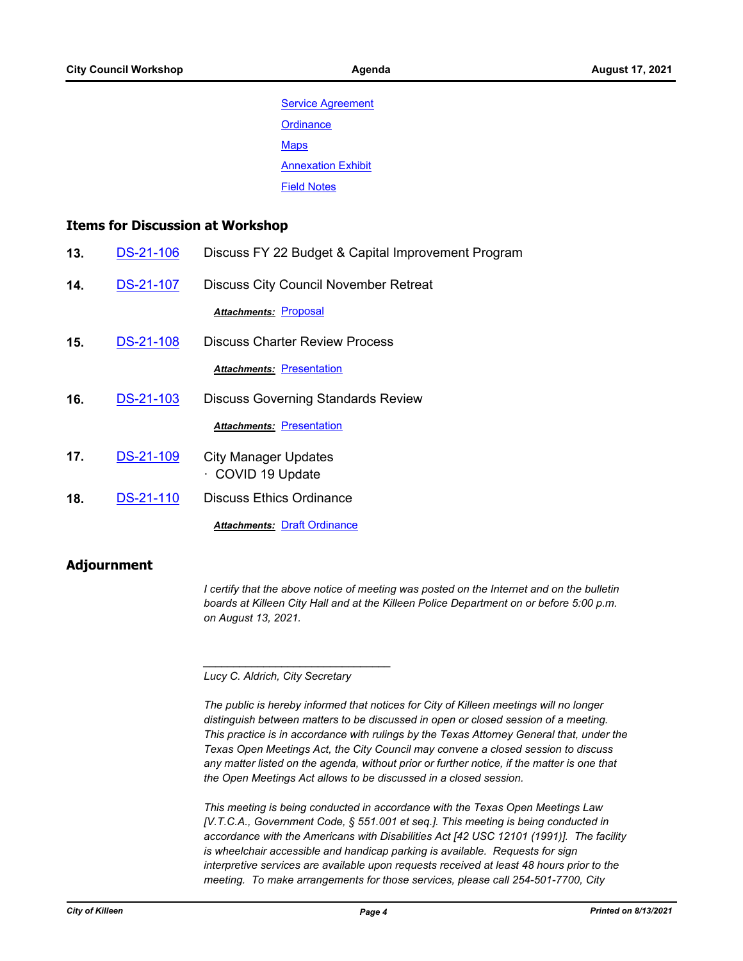**[Service Agreement](http://killeen.legistar.com/gateway.aspx?M=F&ID=926e0905-ee3b-47de-a4a5-d5b1ca397370.pdf) [Ordinance](http://killeen.legistar.com/gateway.aspx?M=F&ID=894ec82d-8be2-44be-8034-1781bb18d24a.pdf) [Maps](http://killeen.legistar.com/gateway.aspx?M=F&ID=816700cf-e5eb-461c-81e6-6c8ae4361a8a.pdf) [Annexation Exhibit](http://killeen.legistar.com/gateway.aspx?M=F&ID=42817f16-fd2a-4192-a458-a0bd38c9450a.pdf)** [Field Notes](http://killeen.legistar.com/gateway.aspx?M=F&ID=fff35307-ae02-4269-8adc-eab089602bcd.pdf)

### **Items for Discussion at Workshop**

- **13.** [DS-21-106](http://killeen.legistar.com/gateway.aspx?m=l&id=/matter.aspx?key=5651) Discuss FY 22 Budget & Capital Improvement Program
- **14.** [DS-21-107](http://killeen.legistar.com/gateway.aspx?m=l&id=/matter.aspx?key=5660) Discuss City Council November Retreat

*Attachments:* [Proposal](http://killeen.legistar.com/gateway.aspx?M=F&ID=89c29c31-8c40-4a4a-9d95-3be1437ddc2d.pdf)

- **15.** [DS-21-108](http://killeen.legistar.com/gateway.aspx?m=l&id=/matter.aspx?key=5631) Discuss Charter Review Process *Attachments:* [Presentation](http://killeen.legistar.com/gateway.aspx?M=F&ID=d6f67a7f-165f-4df9-8e57-35243f1e39f5.pdf)
- **16.** [DS-21-103](http://killeen.legistar.com/gateway.aspx?m=l&id=/matter.aspx?key=5616) Discuss Governing Standards Review

**Attachments: [Presentation](http://killeen.legistar.com/gateway.aspx?M=F&ID=fe96afef-e51d-4f40-9a56-4679b7c7f483.pdf)** 

- **17.** [DS-21-109](http://killeen.legistar.com/gateway.aspx?m=l&id=/matter.aspx?key=5650) City Manager Updates · COVID 19 Update
- **18.** [DS-21-110](http://killeen.legistar.com/gateway.aspx?m=l&id=/matter.aspx?key=5652) Discuss Ethics Ordinance

*Attachments:* [Draft Ordinance](http://killeen.legistar.com/gateway.aspx?M=F&ID=16e17d66-e9a2-4b15-ab41-e53adf606657.pdf)

## **Adjournment**

*I* certify that the above notice of meeting was posted on the Internet and on the bulletin *boards at Killeen City Hall and at the Killeen Police Department on or before 5:00 p.m. on August 13, 2021.*

*Lucy C. Aldrich, City Secretary* 

*\_\_\_\_\_\_\_\_\_\_\_\_\_\_\_\_\_\_\_\_\_\_\_\_\_\_\_\_\_\_\_*

*The public is hereby informed that notices for City of Killeen meetings will no longer distinguish between matters to be discussed in open or closed session of a meeting. This practice is in accordance with rulings by the Texas Attorney General that, under the Texas Open Meetings Act, the City Council may convene a closed session to discuss any matter listed on the agenda, without prior or further notice, if the matter is one that the Open Meetings Act allows to be discussed in a closed session.*

*This meeting is being conducted in accordance with the Texas Open Meetings Law [V.T.C.A., Government Code, § 551.001 et seq.]. This meeting is being conducted in accordance with the Americans with Disabilities Act [42 USC 12101 (1991)]. The facility is wheelchair accessible and handicap parking is available. Requests for sign interpretive services are available upon requests received at least 48 hours prior to the meeting. To make arrangements for those services, please call 254-501-7700, City*